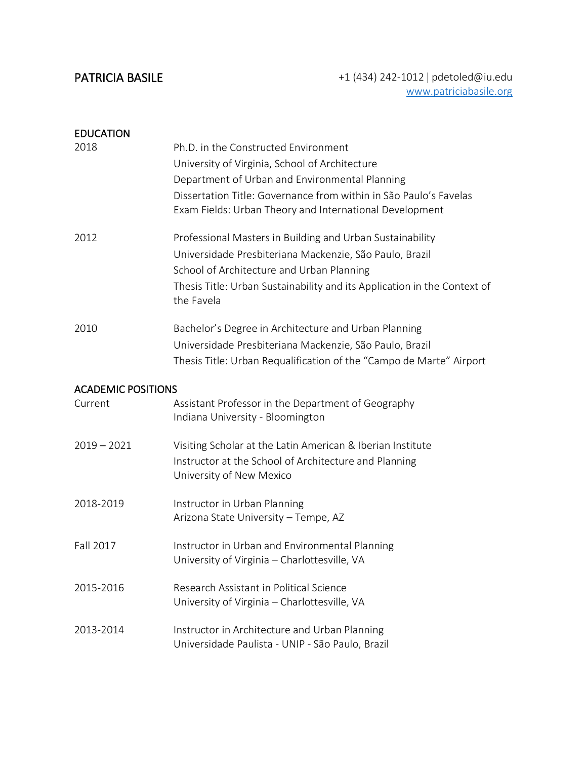| <b>EDUCATION</b>          |                                                                                                                                                                                                                                                                          |
|---------------------------|--------------------------------------------------------------------------------------------------------------------------------------------------------------------------------------------------------------------------------------------------------------------------|
| 2018                      | Ph.D. in the Constructed Environment<br>University of Virginia, School of Architecture<br>Department of Urban and Environmental Planning<br>Dissertation Title: Governance from within in São Paulo's Favelas<br>Exam Fields: Urban Theory and International Development |
| 2012                      | Professional Masters in Building and Urban Sustainability<br>Universidade Presbiteriana Mackenzie, São Paulo, Brazil<br>School of Architecture and Urban Planning<br>Thesis Title: Urban Sustainability and its Application in the Context of<br>the Favela              |
| 2010                      | Bachelor's Degree in Architecture and Urban Planning<br>Universidade Presbiteriana Mackenzie, São Paulo, Brazil<br>Thesis Title: Urban Requalification of the "Campo de Marte" Airport                                                                                   |
| <b>ACADEMIC POSITIONS</b> |                                                                                                                                                                                                                                                                          |
| Current                   | Assistant Professor in the Department of Geography<br>Indiana University - Bloomington                                                                                                                                                                                   |
| $2019 - 2021$             | Visiting Scholar at the Latin American & Iberian Institute<br>Instructor at the School of Architecture and Planning<br>University of New Mexico                                                                                                                          |
| 2018-2019                 | Instructor in Urban Planning<br>Arizona State University - Tempe, AZ                                                                                                                                                                                                     |
| Fall 2017                 | Instructor in Urban and Environmental Planning<br>University of Virginia - Charlottesville, VA                                                                                                                                                                           |
| 2015-2016                 | Research Assistant in Political Science<br>University of Virginia - Charlottesville, VA                                                                                                                                                                                  |
| 2013-2014                 | Instructor in Architecture and Urban Planning<br>Universidade Paulista - UNIP - São Paulo, Brazil                                                                                                                                                                        |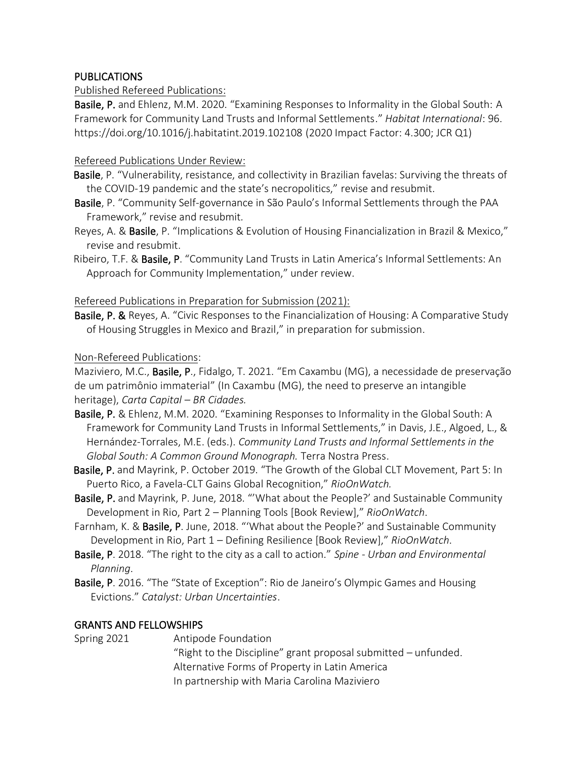## PUBLICATIONS

## Published Refereed Publications:

Basile, P. and Ehlenz, M.M. 2020. "Examining Responses to Informality in the Global South: A Framework for Community Land Trusts and Informal Settlements." *Habitat International*: 96. <https://doi.org/10.1016/j.habitatint.2019.102108> (2020 Impact Factor: 4.300; JCR Q1)

## Refereed Publications Under Review:

- Basile, P. "Vulnerability, resistance, and collectivity in Brazilian favelas: Surviving the threats of the COVID-19 pandemic and the state's necropolitics," revise and resubmit.
- Basile, P. "Community Self-governance in São Paulo's Informal Settlements through the PAA Framework," revise and resubmit*.*
- Reyes, A. & Basile, P. "Implications & Evolution of Housing Financialization in Brazil & Mexico," revise and resubmit.
- Ribeiro, T.F. & Basile, P. "Community Land Trusts in Latin America's Informal Settlements: An Approach for Community Implementation," under review.

Refereed Publications in Preparation for Submission (2021):

Basile, P. & Reyes, A. "Civic Responses to the Financialization of Housing: A Comparative Study of Housing Struggles in Mexico and Brazil," in preparation for submission.

## Non-Refereed Publications:

[Maziviero,](https://www.facebook.com/maziviero?__cft__%5b0%5d=AZUerM7UOtvKhXvXcXde9BxYthN5p6sCOCJFxtoHOY_nF3Z2VCQwfyDy1fh8ddH4uqEy7O1lHMxbR1709enrHBG1uU-62j3C2onRcN6mk-eBFalHQ5tRgXbxc-OtnH7zLmN0M_AX9Fzs8TyN-DNDKssM&__tn__=-UC%2CP-R) M.C., Basile, P., Fidalgo, T. 2021. "Em Caxambu (MG), a necessidade de preservação de um patrimônio immaterial" (In Caxambu (MG), the need to preserve an intangible heritage), *Carta Capital – BR Cidades.*

- Basile, P. & Ehlenz, M.M. 2020. "Examining Responses to Informality in the Global South: A Framework for Community Land Trusts in Informal Settlements," in Davis, J.E., Algoed, L., & Hernández-Torrales, M.E. (eds.). *Community Land Trusts and Informal Settlements in the Global South: A Common Ground Monograph.* Terra Nostra Press.
- Basile, P. and Mayrink, P. October 2019. "The Growth of the Global CLT Movement, Part 5: In Puerto Rico, a Favela-CLT Gains Global Recognition," *RioOnWatch.*
- Basile, P. and Mayrink, P. June, 2018. "'What about the People?' and Sustainable Community Development in Rio, Part 2 – Planning Tools [Book Review]," *RioOnWatch*.
- Farnham, K. & Basile, P. June, 2018. "'What about the People?' and Sustainable Community Development in Rio, Part 1 – Defining Resilience [Book Review]," *RioOnWatch*.
- Basile, P. 2018. "The right to the city as a call to action." *Spine - Urban and Environmental Planning*.
- Basile, P. 2016. "The "State of Exception": Rio de Janeiro's Olympic Games and Housing Evictions." *Catalyst: Urban Uncertainties*.

# GRANTS AND FELLOWSHIPS

Spring 2021 Antipode Foundation

"Right to the Discipline" grant proposal submitted – unfunded. Alternative Forms of Property in Latin America In partnership with Maria Carolina Maziviero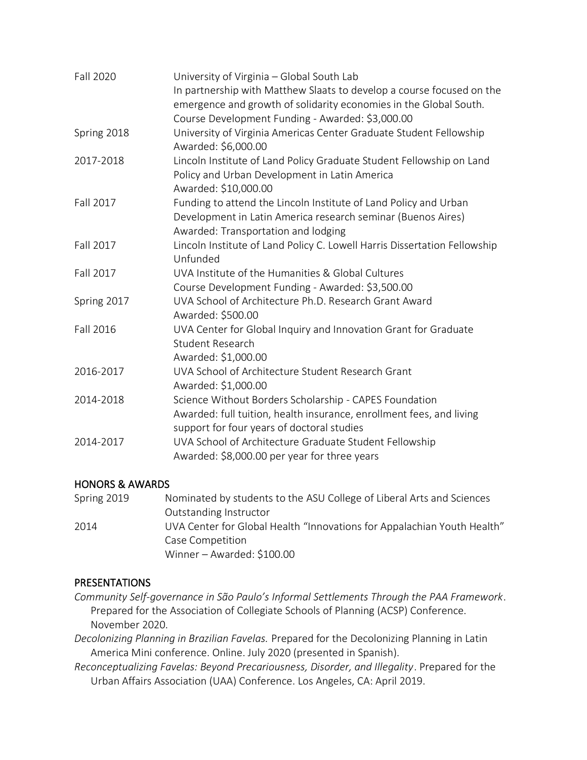| Fall 2020   | University of Virginia - Global South Lab<br>In partnership with Matthew Slaats to develop a course focused on the<br>emergence and growth of solidarity economies in the Global South.<br>Course Development Funding - Awarded: \$3,000.00 |
|-------------|---------------------------------------------------------------------------------------------------------------------------------------------------------------------------------------------------------------------------------------------|
| Spring 2018 | University of Virginia Americas Center Graduate Student Fellowship<br>Awarded: \$6,000.00                                                                                                                                                   |
| 2017-2018   | Lincoln Institute of Land Policy Graduate Student Fellowship on Land<br>Policy and Urban Development in Latin America<br>Awarded: \$10,000.00                                                                                               |
| Fall 2017   | Funding to attend the Lincoln Institute of Land Policy and Urban<br>Development in Latin America research seminar (Buenos Aires)<br>Awarded: Transportation and lodging                                                                     |
| Fall 2017   | Lincoln Institute of Land Policy C. Lowell Harris Dissertation Fellowship<br>Unfunded                                                                                                                                                       |
| Fall 2017   | UVA Institute of the Humanities & Global Cultures<br>Course Development Funding - Awarded: \$3,500.00                                                                                                                                       |
| Spring 2017 | UVA School of Architecture Ph.D. Research Grant Award<br>Awarded: \$500.00                                                                                                                                                                  |
| Fall 2016   | UVA Center for Global Inquiry and Innovation Grant for Graduate<br><b>Student Research</b><br>Awarded: \$1,000.00                                                                                                                           |
| 2016-2017   | UVA School of Architecture Student Research Grant<br>Awarded: \$1,000.00                                                                                                                                                                    |
| 2014-2018   | Science Without Borders Scholarship - CAPES Foundation<br>Awarded: full tuition, health insurance, enrollment fees, and living<br>support for four years of doctoral studies                                                                |
| 2014-2017   | UVA School of Architecture Graduate Student Fellowship<br>Awarded: \$8,000.00 per year for three years                                                                                                                                      |

## HONORS & AWARDS

| Spring 2019 | Nominated by students to the ASU College of Liberal Arts and Sciences   |
|-------------|-------------------------------------------------------------------------|
|             | Outstanding Instructor                                                  |
| 2014        | UVA Center for Global Health "Innovations for Appalachian Youth Health" |
|             | Case Competition                                                        |
|             | Winner - Awarded: \$100.00                                              |

# PRESENTATIONS

- *Community Self-governance in São Paulo's Informal Settlements Through the PAA Framework*. Prepared for the Association of Collegiate Schools of Planning (ACSP) Conference. November 2020.
- *Decolonizing Planning in Brazilian Favelas.* Prepared for the Decolonizing Planning in Latin America Mini conference. Online. July 2020 (presented in Spanish).
- *Reconceptualizing Favelas: Beyond Precariousness, Disorder, and Illegality*. Prepared for the Urban Affairs Association (UAA) Conference. Los Angeles, CA: April 2019.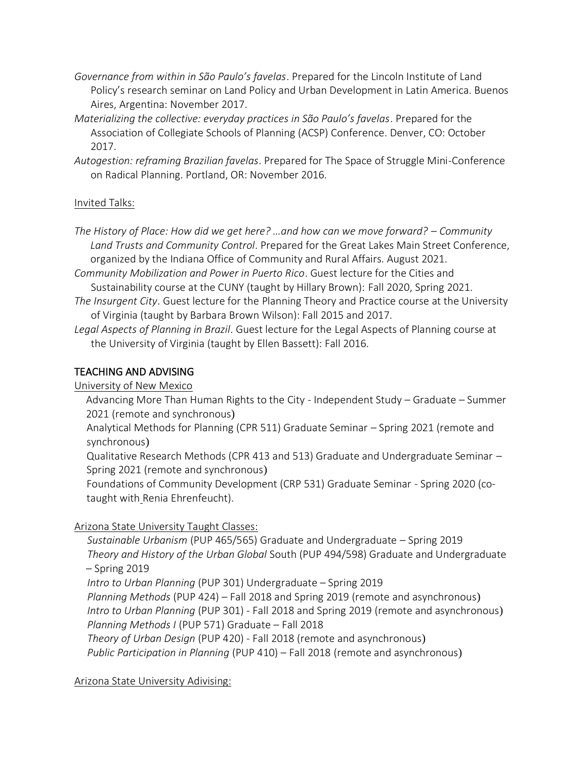- *Governance from within in São Paulo's favelas*. Prepared for the Lincoln Institute of Land Policy's research seminar on Land Policy and Urban Development in Latin America. Buenos Aires, Argentina: November 2017.
- *Materializing the collective: everyday practices in São Paulo's favelas*. Prepared for the Association of Collegiate Schools of Planning (ACSP) Conference. Denver, CO: October 2017.
- *Autogestion: reframing Brazilian favelas*. Prepared for The Space of Struggle Mini-Conference on Radical Planning. Portland, OR: November 2016.

## Invited Talks:

*The History of Place: How did we get here? …and how can we move forward? – Community Land Trusts and Community Control*. Prepared for the Great Lakes Main Street Conference, organized by the Indiana Office of Community and Rural Affairs. August 2021.

*Community Mobilization and Power in Puerto Rico*. Guest lecture for the Cities and Sustainability course at the CUNY (taught by Hillary Brown): Fall 2020, Spring 2021.

- *The Insurgent City*. Guest lecture for the Planning Theory and Practice course at the University of Virginia (taught by Barbara Brown Wilson): Fall 2015 and 2017.
- *Legal Aspects of Planning in Brazil*. Guest lecture for the Legal Aspects of Planning course at the University of Virginia (taught by Ellen Bassett): Fall 2016.

## TEACHING AND ADVISING

University of New Mexico

Advancing More Than Human Rights to the City - Independent Study – Graduate – Summer 2021 (remote and synchronous)

Analytical Methods for Planning (CPR 511) Graduate Seminar – Spring 2021 (remote and synchronous)

Qualitative Research Methods (CPR 413 and 513) Graduate and Undergraduate Seminar – Spring 2021 (remote and synchronous)

Foundations of Community Development (CRP 531) Graduate Seminar - Spring 2020 (cotaught with Renia Ehrenfeucht).

# Arizona State University Taught Classes:

 *Sustainable Urbanism* (PUP 465/565) Graduate and Undergraduate – Spring 2019 *Theory and History of the Urban Global* South (PUP 494/598) Graduate and Undergraduate – Spring 2019

*Intro to Urban Planning* (PUP 301) Undergraduate – Spring 2019

 *Planning Methods* (PUP 424) – Fall 2018 and Spring 2019 (remote and asynchronous) *Intro to Urban Planning* (PUP 301) - Fall 2018 and Spring 2019 (remote and asynchronous) *Planning Methods I* (PUP 571) Graduate – Fall 2018

*Theory of Urban Design* (PUP 420) - Fall 2018 (remote and asynchronous)

*Public Participation in Planning* (PUP 410) – Fall 2018 (remote and asynchronous)

## Arizona State University Adivising: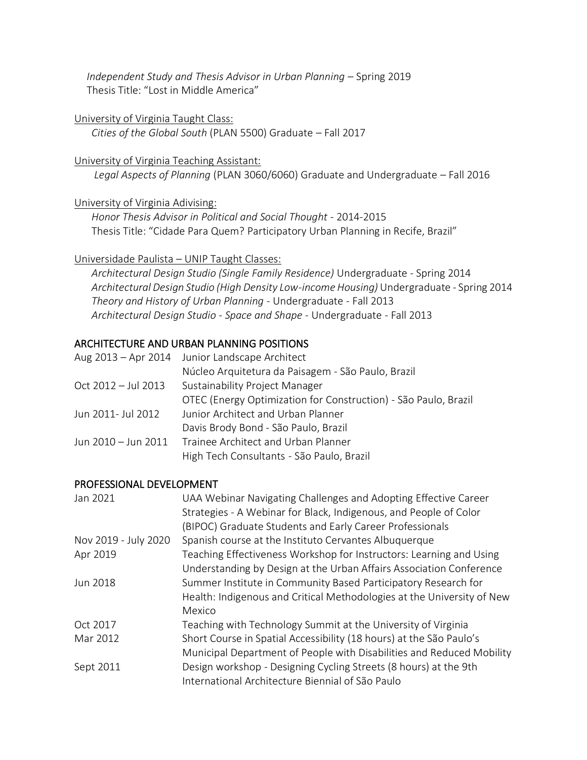*Independent Study and Thesis Advisor in Urban Planning* – Spring 2019 Thesis Title: "Lost in Middle America"

#### University of Virginia Taught Class:

*Cities of the Global South* (PLAN 5500) Graduate – Fall 2017

### University of Virginia Teaching Assistant:

*Legal Aspects of Planning* (PLAN 3060/6060) Graduate and Undergraduate – Fall 2016

### University of Virginia Adivising:

 *Honor Thesis Advisor in Political and Social Thought* - 2014-2015 Thesis Title: "Cidade Para Quem? Participatory Urban Planning in Recife, Brazil"

### Universidade Paulista – UNIP Taught Classes:

 *Architectural Design Studio (Single Family Residence)* Undergraduate - Spring 2014 *Architectural Design Studio (High Density Low-income Housing)* Undergraduate - Spring 2014 *Theory and History of Urban Planning* - Undergraduate - Fall 2013 *Architectural Design Studio - Space and Shape* - Undergraduate - Fall 2013

## ARCHITECTURE AND URBAN PLANNING POSITIONS

|                     | Aug 2013 - Apr 2014 Junior Landscape Architect                  |
|---------------------|-----------------------------------------------------------------|
|                     | Núcleo Arquitetura da Paisagem - São Paulo, Brazil              |
| Oct 2012 - Jul 2013 | Sustainability Project Manager                                  |
|                     | OTEC (Energy Optimization for Construction) - São Paulo, Brazil |
| Jun 2011- Jul 2012  | Junior Architect and Urban Planner                              |
|                     | Davis Brody Bond - São Paulo, Brazil                            |
| Jun 2010 - Jun 2011 | Trainee Architect and Urban Planner                             |
|                     | High Tech Consultants - São Paulo, Brazil                       |
|                     |                                                                 |

#### PROFESSIONAL DEVELOPMENT

| Jan 2021             | UAA Webinar Navigating Challenges and Adopting Effective Career        |
|----------------------|------------------------------------------------------------------------|
|                      | Strategies - A Webinar for Black, Indigenous, and People of Color      |
|                      | (BIPOC) Graduate Students and Early Career Professionals               |
| Nov 2019 - July 2020 | Spanish course at the Instituto Cervantes Albuquerque                  |
| Apr 2019             | Teaching Effectiveness Workshop for Instructors: Learning and Using    |
|                      | Understanding by Design at the Urban Affairs Association Conference    |
| Jun 2018             | Summer Institute in Community Based Participatory Research for         |
|                      | Health: Indigenous and Critical Methodologies at the University of New |
|                      | Mexico                                                                 |
| Oct 2017             | Teaching with Technology Summit at the University of Virginia          |
| Mar 2012             | Short Course in Spatial Accessibility (18 hours) at the São Paulo's    |
|                      | Municipal Department of People with Disabilities and Reduced Mobility  |
| Sept 2011            | Design workshop - Designing Cycling Streets (8 hours) at the 9th       |
|                      | International Architecture Biennial of São Paulo                       |